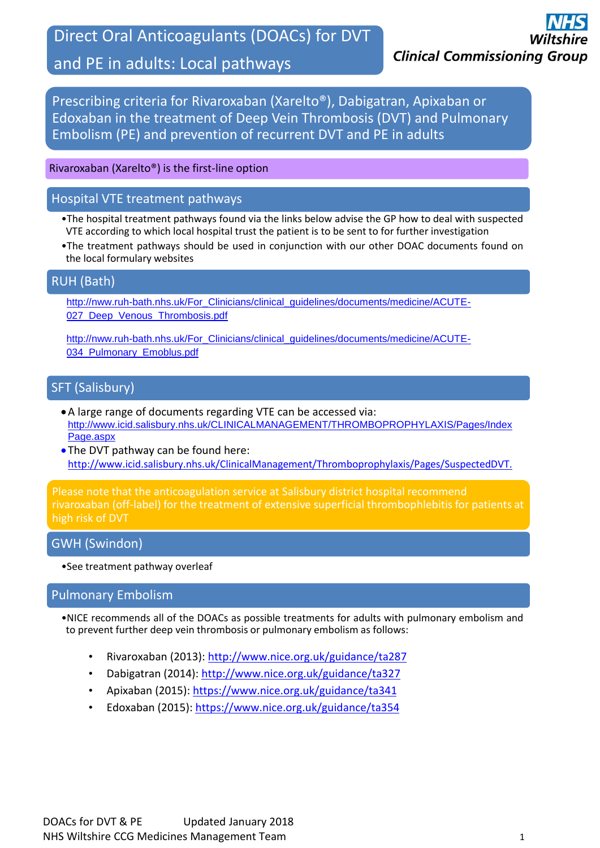Direct Oral Anticoagulants (DOACs) for DVT

# and PE in adults: Local pathways

Prescribing criteria for Rivaroxaban (Xarelto®), Dabigatran, Apixaban or Edoxaban in the treatment of Deep Vein Thrombosis (DVT) and Pulmonary Embolism (PE) and prevention of recurrent DVT and PE in adults

#### Rivaroxaban (Xarelto®) is the first-line option

#### Hospital VTE treatment pathways

- •The hospital treatment pathways found via the links below advise the GP how to deal with suspected VTE according to which local hospital trust the patient is to be sent to for further investigation
- •The treatment pathways should be used in conjunction with our other DOAC documents found on the local formulary websites

#### RUH (Bath)

[http://nww.ruh-bath.nhs.uk/For\\_Clinicians/clinical\\_guidelines/documents/medicine/ACUTE-](http://nww.ruh-bath.nhs.uk/For_Clinicians/clinical_guidelines/documents/medicine/ACUTE-027_Deep_Venous_Thrombosis.pdf)027 Deep Venous Thrombosis.pdf

[http://nww.ruh-bath.nhs.uk/For\\_Clinicians/clinical\\_guidelines/documents/medicine/ACUTE-](http://nww.ruh-bath.nhs.uk/For_Clinicians/clinical_guidelines/documents/medicine/ACUTE-034_Pulmonary_Emoblus.pdf)034 Pulmonary Emoblus.pdf

### SFT (Salisbury)

- A large range of documents regarding VTE can be accessed via: [http://www.icid.salisbury.nhs.uk/CLINICALMANAGEMENT/THROMBOPROPHYLAXIS/Pages/Index](http://www.icid.salisbury.nhs.uk/CLINICALMANAGEMENT/THROMBOPROPHYLAXIS/Pages/IndexPage.aspx) [Page.aspx](http://www.icid.salisbury.nhs.uk/CLINICALMANAGEMENT/THROMBOPROPHYLAXIS/Pages/IndexPage.aspx)
- The DVT pathway can be found here: [http://www.icid.salisbury.nhs.uk/ClinicalManagement/Thromboprophylaxis/Pages/SuspectedDVT.](http://www.icid.salisbury.nhs.uk/ClinicalManagement/Thromboprophylaxis/Pages/SuspectedDVT.aspx)

Please note that the anticoagulation service at Salisbury district hospital recommend rivaroxaban (off-label) for the treatment of extensive superficial thrombophlebitis for patients at

### GWH (Swindon)

[aspx](http://www.icid.salisbury.nhs.uk/ClinicalManagement/Thromboprophylaxis/Pages/SuspectedDVT.aspx)

•See treatment pathway overleaf

#### Pulmonary Embolism

•NICE recommends all of the DOACs as possible treatments for adults with pulmonary embolism and to prevent further deep vein thrombosis or pulmonary embolism as follows:

- Rivaroxaban (2013): <http://www.nice.org.uk/guidance/ta287>
- [Dabigatran \(2014\): http://www.nice.org.uk/guidance/ta327](http://www.nice.org.uk/guidance/ta287)
- Apixaban (2015):<https://www.nice.org.uk/guidance/ta341>
- Edoxaban (2015):<https://www.nice.org.uk/guidance/ta354>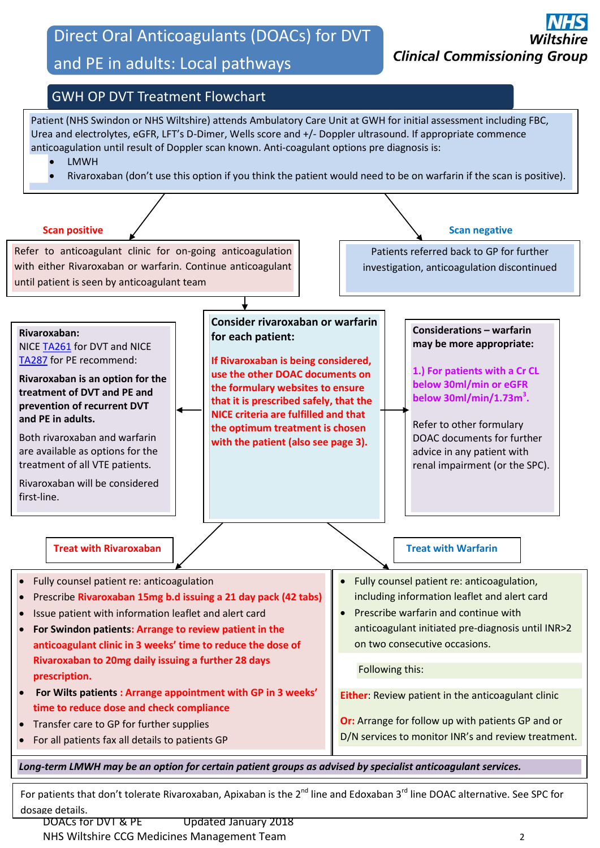# Direct Oral Anticoagulants (DOACs) for DVT

# and PE in adults: Local pathways





For patients that don't tolerate Rivaroxaban, Apixaban is the 2<sup>nd</sup> line and Edoxaban 3<sup>rd</sup> line DOAC alternative. See SPC for dosage details.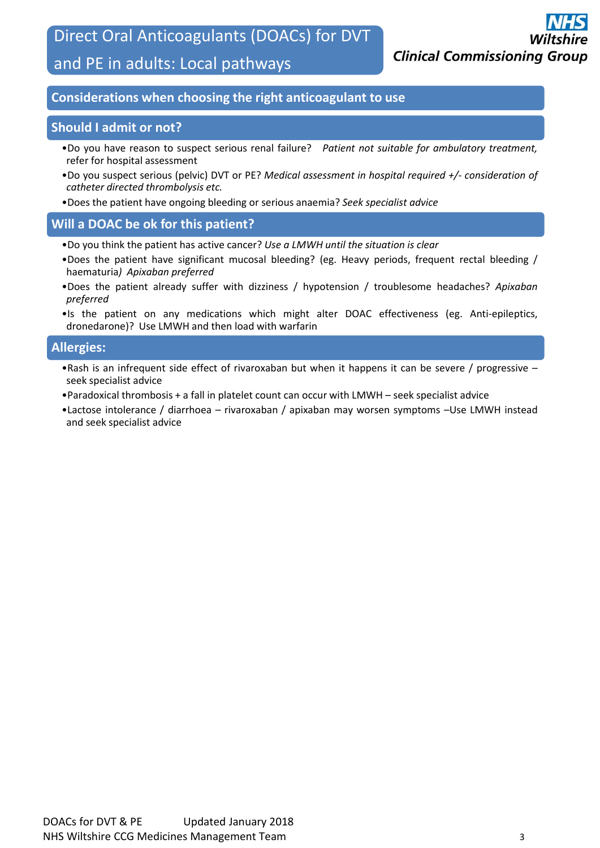Direct Oral Anticoagulants (DOACs) for DVT

# and PE in adults: Local pathways

### **Considerations when choosing the right anticoagulant to use**

#### **Should I admit or not?**

- •Do you have reason to suspect serious renal failure? *Patient not suitable for ambulatory treatment,* refer for hospital assessment
- •Do you suspect serious (pelvic) DVT or PE? *Medical assessment in hospital required +/- consideration of catheter directed thrombolysis etc.*
- •Does the patient have ongoing bleeding or serious anaemia? *Seek specialist advice*

### **Will a DOAC be ok for this patient?**

- •Do you think the patient has active cancer? *Use a LMWH until the situation is clear*
- •Does the patient have significant mucosal bleeding? (eg. Heavy periods, frequent rectal bleeding / haematuria*) Apixaban preferred*
- •Does the patient already suffer with dizziness / hypotension / troublesome headaches? *Apixaban preferred*
- •Is the patient on any medications which might alter DOAC effectiveness (eg. Anti-epileptics, dronedarone)? Use LMWH and then load with warfarin

### **Allergies:**

- •Rash is an infrequent side effect of rivaroxaban but when it happens it can be severe / progressive seek specialist advice
- •Paradoxical thrombosis + a fall in platelet count can occur with LMWH seek specialist advice
- •Lactose intolerance / diarrhoea rivaroxaban / apixaban may worsen symptoms –Use LMWH instead and seek specialist advice